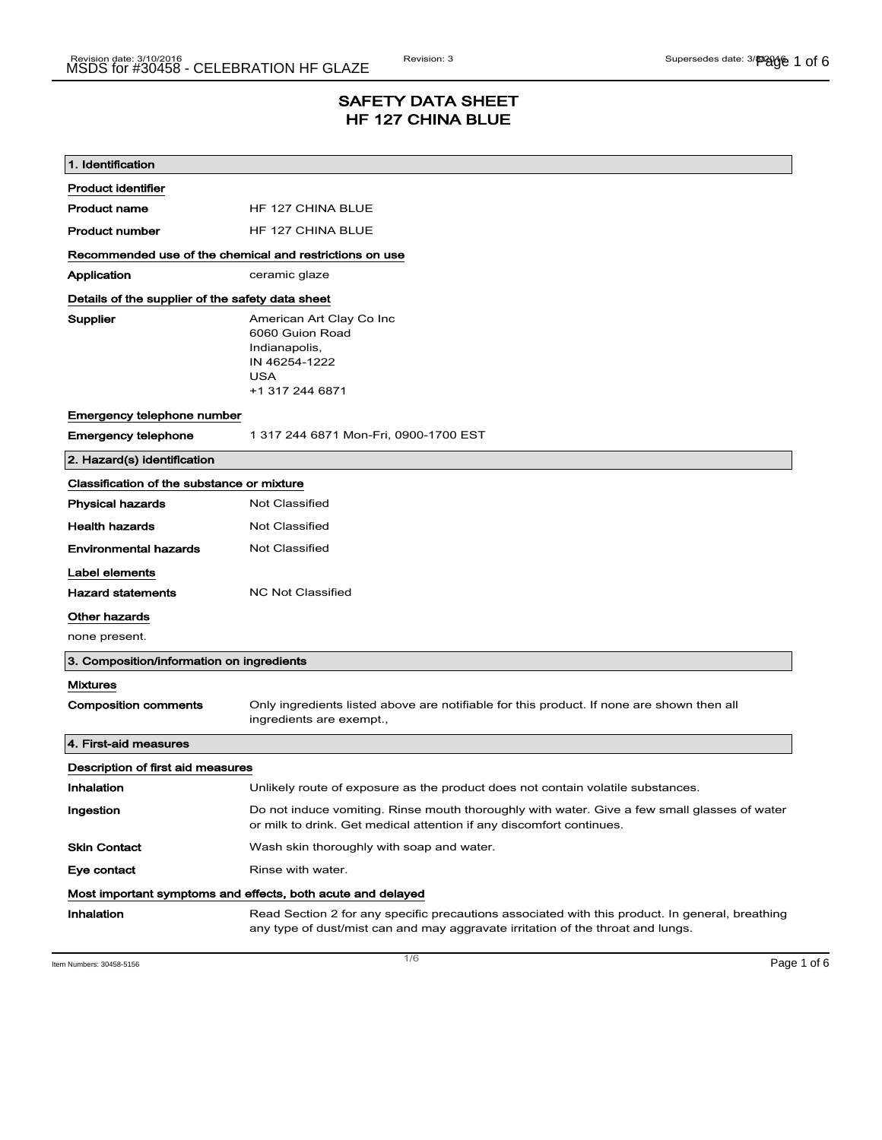# SAFETY DATA SHEET HF 127 CHINA BLUE

| 1. Identification                                           |                                                                                                                                                                                    |  |  |
|-------------------------------------------------------------|------------------------------------------------------------------------------------------------------------------------------------------------------------------------------------|--|--|
| <b>Product identifier</b>                                   |                                                                                                                                                                                    |  |  |
| <b>Product name</b>                                         | HF 127 CHINA BLUE                                                                                                                                                                  |  |  |
| <b>Product number</b>                                       | HF 127 CHINA BLUE                                                                                                                                                                  |  |  |
| Recommended use of the chemical and restrictions on use     |                                                                                                                                                                                    |  |  |
| Application                                                 | ceramic glaze                                                                                                                                                                      |  |  |
|                                                             | Details of the supplier of the safety data sheet                                                                                                                                   |  |  |
| Supplier                                                    | American Art Clay Co Inc<br>6060 Guion Road<br>Indianapolis,<br>IN 46254-1222<br>USA<br>+1 317 244 6871                                                                            |  |  |
| Emergency telephone number                                  |                                                                                                                                                                                    |  |  |
| <b>Emergency telephone</b>                                  | 1 317 244 6871 Mon-Fri, 0900-1700 EST                                                                                                                                              |  |  |
| 2. Hazard(s) identification                                 |                                                                                                                                                                                    |  |  |
| Classification of the substance or mixture                  |                                                                                                                                                                                    |  |  |
| <b>Physical hazards</b>                                     | <b>Not Classified</b>                                                                                                                                                              |  |  |
| <b>Health hazards</b>                                       | Not Classified                                                                                                                                                                     |  |  |
| <b>Environmental hazards</b>                                | <b>Not Classified</b>                                                                                                                                                              |  |  |
| Label elements                                              |                                                                                                                                                                                    |  |  |
| <b>Hazard statements</b>                                    | <b>NC Not Classified</b>                                                                                                                                                           |  |  |
| Other hazards                                               |                                                                                                                                                                                    |  |  |
| none present.                                               |                                                                                                                                                                                    |  |  |
| 3. Composition/information on ingredients                   |                                                                                                                                                                                    |  |  |
| <b>Mixtures</b>                                             |                                                                                                                                                                                    |  |  |
| <b>Composition comments</b>                                 | Only ingredients listed above are notifiable for this product. If none are shown then all<br>ingredients are exempt.,                                                              |  |  |
| 4. First-aid measures                                       |                                                                                                                                                                                    |  |  |
| Description of first aid measures                           |                                                                                                                                                                                    |  |  |
| Inhalation                                                  | Unlikely route of exposure as the product does not contain volatile substances.                                                                                                    |  |  |
| Ingestion                                                   | Do not induce vomiting. Rinse mouth thoroughly with water. Give a few small glasses of water<br>or milk to drink. Get medical attention if any discomfort continues.               |  |  |
| <b>Skin Contact</b>                                         | Wash skin thoroughly with soap and water.                                                                                                                                          |  |  |
| Eye contact                                                 | Rinse with water.                                                                                                                                                                  |  |  |
| Most important symptoms and effects, both acute and delayed |                                                                                                                                                                                    |  |  |
| Inhalation                                                  | Read Section 2 for any specific precautions associated with this product. In general, breathing<br>any type of dust/mist can and may aggravate irritation of the throat and lungs. |  |  |

Item Numbers: 30458-5156 **Page 1 of 6**  $\overline{ }$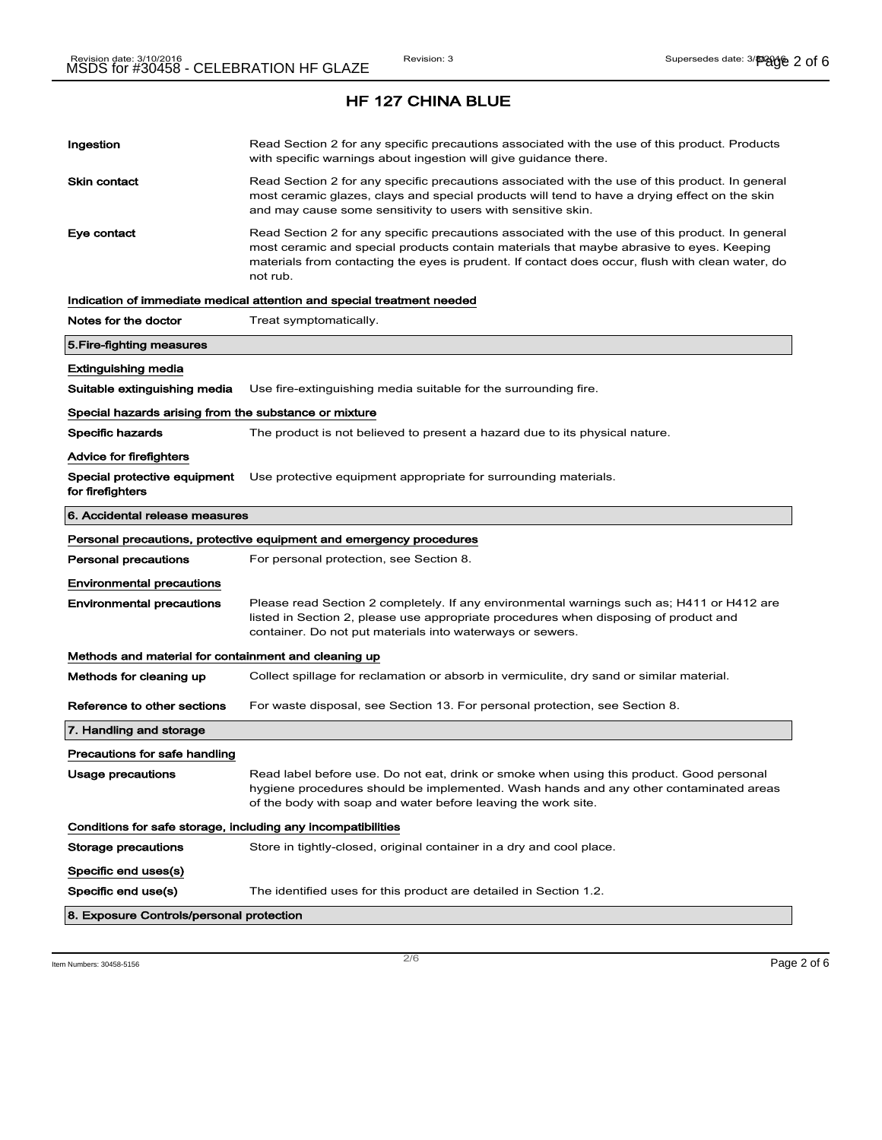| Ingestion                                                    | Read Section 2 for any specific precautions associated with the use of this product. Products<br>with specific warnings about ingestion will give guidance there.                                                                                                                                           |
|--------------------------------------------------------------|-------------------------------------------------------------------------------------------------------------------------------------------------------------------------------------------------------------------------------------------------------------------------------------------------------------|
| <b>Skin contact</b>                                          | Read Section 2 for any specific precautions associated with the use of this product. In general<br>most ceramic glazes, clays and special products will tend to have a drying effect on the skin<br>and may cause some sensitivity to users with sensitive skin.                                            |
| Eye contact                                                  | Read Section 2 for any specific precautions associated with the use of this product. In general<br>most ceramic and special products contain materials that maybe abrasive to eyes. Keeping<br>materials from contacting the eyes is prudent. If contact does occur, flush with clean water, do<br>not rub. |
|                                                              | Indication of immediate medical attention and special treatment needed                                                                                                                                                                                                                                      |
| Notes for the doctor                                         | Treat symptomatically.                                                                                                                                                                                                                                                                                      |
| 5. Fire-fighting measures                                    |                                                                                                                                                                                                                                                                                                             |
| Extinguishing media                                          |                                                                                                                                                                                                                                                                                                             |
| Suitable extinguishing media                                 | Use fire-extinguishing media suitable for the surrounding fire.                                                                                                                                                                                                                                             |
| Special hazards arising from the substance or mixture        |                                                                                                                                                                                                                                                                                                             |
| Specific hazards                                             | The product is not believed to present a hazard due to its physical nature.                                                                                                                                                                                                                                 |
| <b>Advice for firefighters</b>                               |                                                                                                                                                                                                                                                                                                             |
| Special protective equipment<br>for firefighters             | Use protective equipment appropriate for surrounding materials.                                                                                                                                                                                                                                             |
| 6. Accidental release measures                               |                                                                                                                                                                                                                                                                                                             |
|                                                              |                                                                                                                                                                                                                                                                                                             |
|                                                              | Personal precautions, protective equipment and emergency procedures                                                                                                                                                                                                                                         |
| <b>Personal precautions</b>                                  | For personal protection, see Section 8.                                                                                                                                                                                                                                                                     |
| <b>Environmental precautions</b>                             |                                                                                                                                                                                                                                                                                                             |
| <b>Environmental precautions</b>                             | Please read Section 2 completely. If any environmental warnings such as; H411 or H412 are<br>listed in Section 2, please use appropriate procedures when disposing of product and<br>container. Do not put materials into waterways or sewers.                                                              |
| Methods and material for containment and cleaning up         |                                                                                                                                                                                                                                                                                                             |
| Methods for cleaning up                                      | Collect spillage for reclamation or absorb in vermiculite, dry sand or similar material.                                                                                                                                                                                                                    |
| Reference to other sections                                  | For waste disposal, see Section 13. For personal protection, see Section 8.                                                                                                                                                                                                                                 |
| 7. Handling and storage                                      |                                                                                                                                                                                                                                                                                                             |
| Precautions for safe handling                                |                                                                                                                                                                                                                                                                                                             |
| Usage precautions                                            | Read label before use. Do not eat, drink or smoke when using this product. Good personal<br>hygiene procedures should be implemented. Wash hands and any other contaminated areas<br>of the body with soap and water before leaving the work site.                                                          |
| Conditions for safe storage, including any incompatibilities |                                                                                                                                                                                                                                                                                                             |
| <b>Storage precautions</b>                                   | Store in tightly-closed, original container in a dry and cool place.                                                                                                                                                                                                                                        |
| Specific end uses(s)                                         |                                                                                                                                                                                                                                                                                                             |
| Specific end use(s)                                          | The identified uses for this product are detailed in Section 1.2.                                                                                                                                                                                                                                           |

Item Numbers: 30458-5156 **Page 2 of 6**  $\overline{2/6}$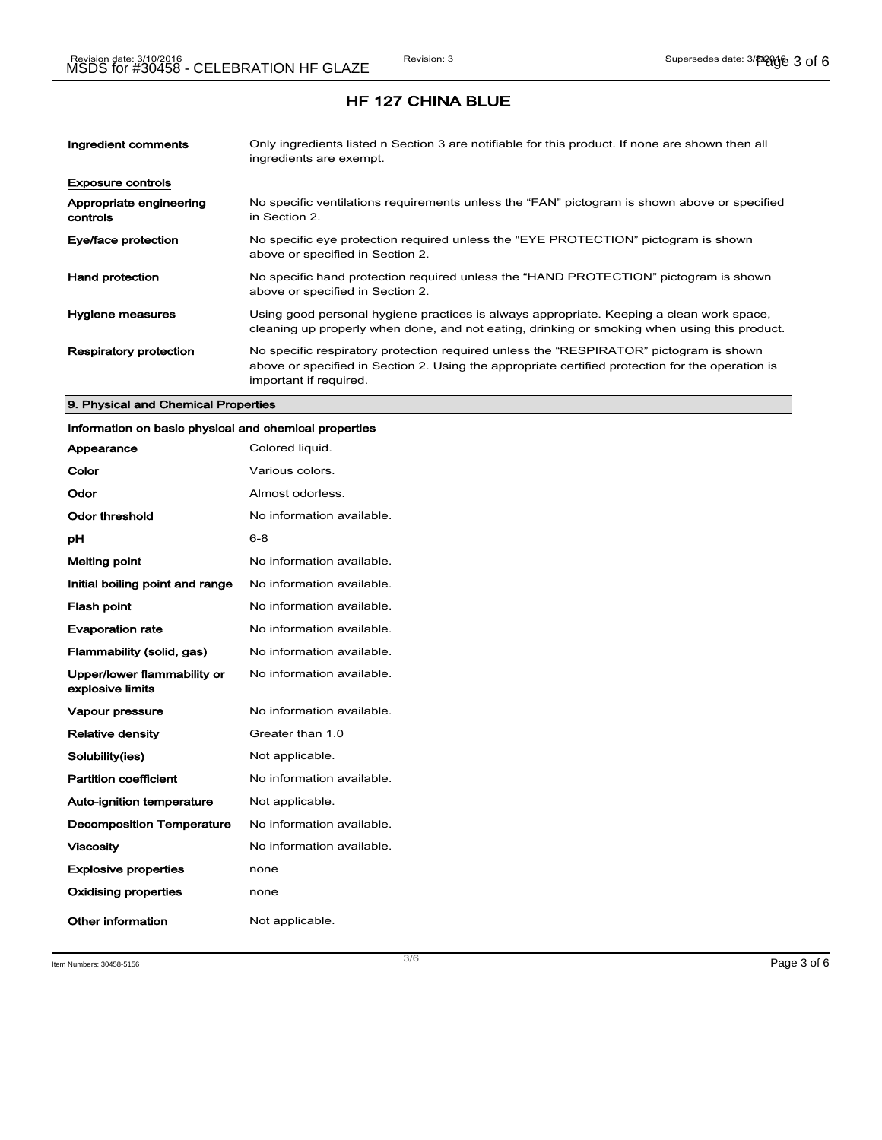| Ingredient comments                 | Only ingredients listed n Section 3 are notifiable for this product. If none are shown then all<br>ingredients are exempt.                                                                                           |
|-------------------------------------|----------------------------------------------------------------------------------------------------------------------------------------------------------------------------------------------------------------------|
| <b>Exposure controls</b>            |                                                                                                                                                                                                                      |
| Appropriate engineering<br>controls | No specific ventilations requirements unless the "FAN" pictogram is shown above or specified<br>in Section 2.                                                                                                        |
| Eye/face protection                 | No specific eye protection required unless the "EYE PROTECTION" pictogram is shown<br>above or specified in Section 2.                                                                                               |
| <b>Hand protection</b>              | No specific hand protection required unless the "HAND PROTECTION" pictogram is shown<br>above or specified in Section 2.                                                                                             |
| Hygiene measures                    | Using good personal hygiene practices is always appropriate. Keeping a clean work space,<br>cleaning up properly when done, and not eating, drinking or smoking when using this product.                             |
| <b>Respiratory protection</b>       | No specific respiratory protection required unless the "RESPIRATOR" pictogram is shown<br>above or specified in Section 2. Using the appropriate certified protection for the operation is<br>important if required. |

#### 9. Physical and Chemical Properties

# Information on basic physical and chemical properties

| Appearance                                      | Colored liquid.           |
|-------------------------------------------------|---------------------------|
| Color                                           | Various colors.           |
| Odor                                            | Almost odorless.          |
| Odor threshold                                  | No information available. |
| рH                                              | 6-8                       |
| <b>Melting point</b>                            | No information available. |
| Initial boiling point and range                 | No information available. |
| <b>Flash point</b>                              | No information available. |
| <b>Evaporation rate</b>                         | No information available. |
| Flammability (solid, gas)                       | No information available. |
| Upper/lower flammability or<br>explosive limits | No information available. |
| Vapour pressure                                 | No information available. |
| <b>Relative density</b>                         | Greater than 1.0          |
| Solubility(ies)                                 | Not applicable.           |
| <b>Partition coefficient</b>                    | No information available. |
| Auto-ignition temperature                       | Not applicable.           |
| <b>Decomposition Temperature</b>                | No information available. |
| <b>Viscosity</b>                                | No information available. |
| <b>Explosive properties</b>                     | none                      |
| <b>Oxidising properties</b>                     | none                      |
| Other information                               | Not applicable.           |

Item Numbers: 30458-5156 **Page 3 of 6**  $\overline{3/6}$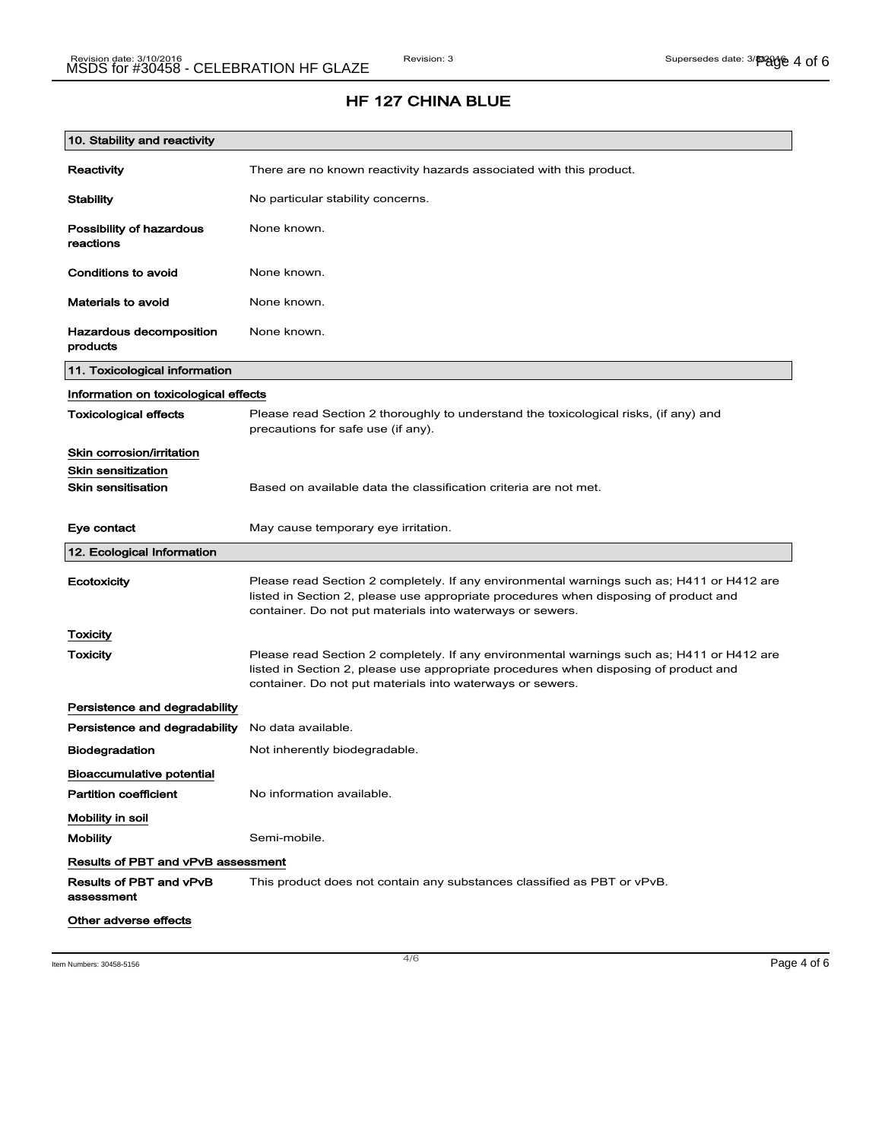## HF 127 CHINA BLUE

| 10. Stability and reactivity              |                                                                                                                                                                                                                                                |
|-------------------------------------------|------------------------------------------------------------------------------------------------------------------------------------------------------------------------------------------------------------------------------------------------|
| Reactivity                                | There are no known reactivity hazards associated with this product.                                                                                                                                                                            |
| <b>Stability</b>                          | No particular stability concerns.                                                                                                                                                                                                              |
| Possibility of hazardous<br>reactions     | None known.                                                                                                                                                                                                                                    |
| Conditions to avoid                       | None known.                                                                                                                                                                                                                                    |
| <b>Materials to avoid</b>                 | None known.                                                                                                                                                                                                                                    |
| Hazardous decomposition<br>products       | None known.                                                                                                                                                                                                                                    |
| 11. Toxicological information             |                                                                                                                                                                                                                                                |
| Information on toxicological effects      |                                                                                                                                                                                                                                                |
| <b>Toxicological effects</b>              | Please read Section 2 thoroughly to understand the toxicological risks, (if any) and<br>precautions for safe use (if any).                                                                                                                     |
| Skin corrosion/irritation                 |                                                                                                                                                                                                                                                |
| <b>Skin sensitization</b>                 |                                                                                                                                                                                                                                                |
| <b>Skin sensitisation</b>                 | Based on available data the classification criteria are not met.                                                                                                                                                                               |
| Eye contact                               | May cause temporary eye irritation.                                                                                                                                                                                                            |
| 12. Ecological Information                |                                                                                                                                                                                                                                                |
| Ecotoxicity                               | Please read Section 2 completely. If any environmental warnings such as; H411 or H412 are<br>listed in Section 2, please use appropriate procedures when disposing of product and<br>container. Do not put materials into waterways or sewers. |
| Toxicity                                  |                                                                                                                                                                                                                                                |
| Toxicity                                  | Please read Section 2 completely. If any environmental warnings such as; H411 or H412 are<br>listed in Section 2, please use appropriate procedures when disposing of product and<br>container. Do not put materials into waterways or sewers. |
| Persistence and degradability             |                                                                                                                                                                                                                                                |
| Persistence and degradability             | No data available.                                                                                                                                                                                                                             |
| <b>Biodegradation</b>                     | Not inherently biodegradable.                                                                                                                                                                                                                  |
| <b>Bioaccumulative potential</b>          |                                                                                                                                                                                                                                                |
| <b>Partition coefficient</b>              | No information available.                                                                                                                                                                                                                      |
| Mobility in soil                          |                                                                                                                                                                                                                                                |
| <b>Mobility</b>                           | Semi-mobile.                                                                                                                                                                                                                                   |
| <b>Results of PBT and vPvB assessment</b> |                                                                                                                                                                                                                                                |
| Results of PBT and vPvB<br>assessment     | This product does not contain any substances classified as PBT or vPvB.                                                                                                                                                                        |
| Other adverse effects                     |                                                                                                                                                                                                                                                |

Item Numbers: 30458-5156 **Page 4 of 6**  $\overline{a}$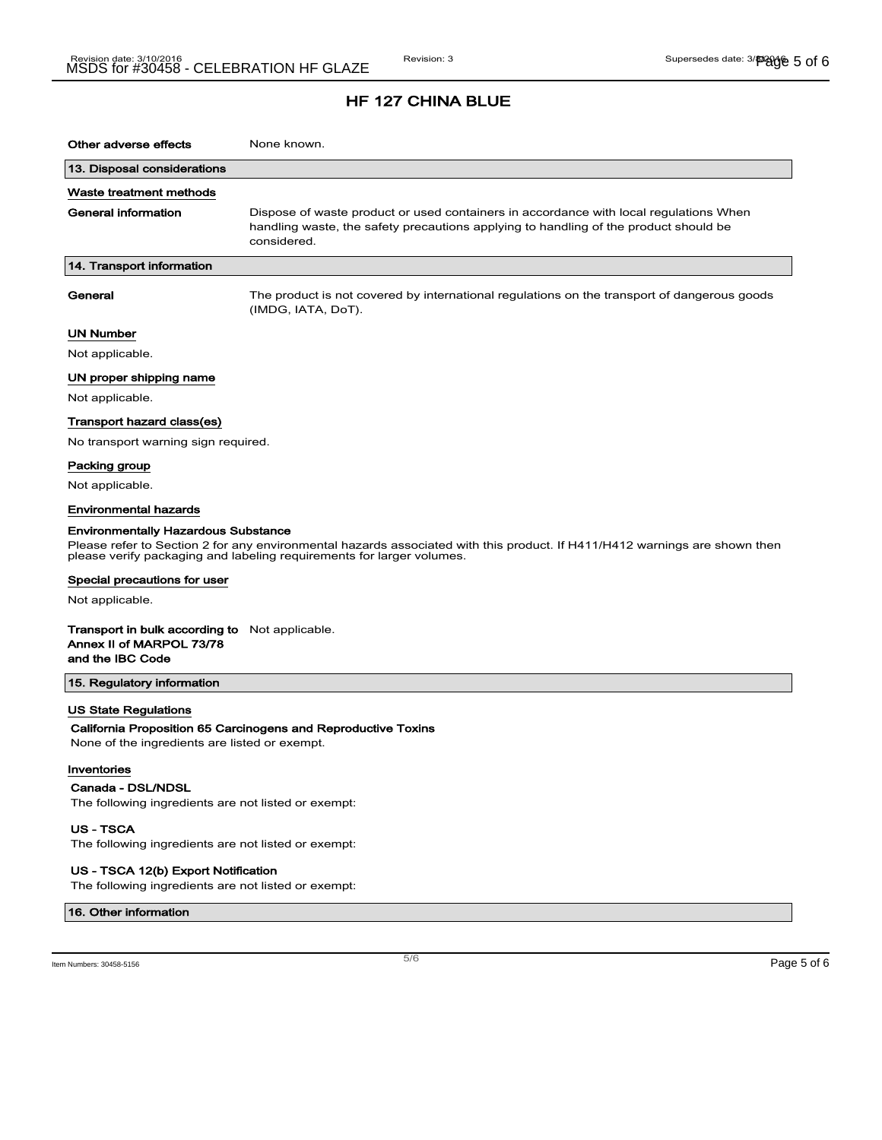| Other adverse effects                                                                                                                                                                                                                             | None known.                                                                                                                                                                                  |
|---------------------------------------------------------------------------------------------------------------------------------------------------------------------------------------------------------------------------------------------------|----------------------------------------------------------------------------------------------------------------------------------------------------------------------------------------------|
| 13. Disposal considerations                                                                                                                                                                                                                       |                                                                                                                                                                                              |
| Waste treatment methods                                                                                                                                                                                                                           |                                                                                                                                                                                              |
| General information                                                                                                                                                                                                                               | Dispose of waste product or used containers in accordance with local regulations When<br>handling waste, the safety precautions applying to handling of the product should be<br>considered. |
| 14. Transport information                                                                                                                                                                                                                         |                                                                                                                                                                                              |
| General                                                                                                                                                                                                                                           | The product is not covered by international regulations on the transport of dangerous goods<br>(IMDG, IATA, DoT).                                                                            |
| UN Number                                                                                                                                                                                                                                         |                                                                                                                                                                                              |
| Not applicable.                                                                                                                                                                                                                                   |                                                                                                                                                                                              |
| UN proper shipping name                                                                                                                                                                                                                           |                                                                                                                                                                                              |
| Not applicable.                                                                                                                                                                                                                                   |                                                                                                                                                                                              |
| Transport hazard class(es)                                                                                                                                                                                                                        |                                                                                                                                                                                              |
| No transport warning sign required.                                                                                                                                                                                                               |                                                                                                                                                                                              |
| Packing group                                                                                                                                                                                                                                     |                                                                                                                                                                                              |
| Not applicable.                                                                                                                                                                                                                                   |                                                                                                                                                                                              |
| <b>Environmental hazards</b>                                                                                                                                                                                                                      |                                                                                                                                                                                              |
| <b>Environmentally Hazardous Substance</b><br>Please refer to Section 2 for any environmental hazards associated with this product. If H411/H412 warnings are shown then<br>please verify packaging and labeling requirements for larger volumes. |                                                                                                                                                                                              |
| Special precautions for user                                                                                                                                                                                                                      |                                                                                                                                                                                              |
| Not applicable.                                                                                                                                                                                                                                   |                                                                                                                                                                                              |
| <b>Transport in bulk according to</b> Not applicable.<br>Annex II of MARPOL 73/78<br>and the IBC Code                                                                                                                                             |                                                                                                                                                                                              |
| 15. Regulatory information                                                                                                                                                                                                                        |                                                                                                                                                                                              |
| <b>US State Regulations</b><br>None of the ingredients are listed or exempt.                                                                                                                                                                      | California Proposition 65 Carcinogens and Reproductive Toxins                                                                                                                                |
| Inventories<br>Canada - DSL/NDSL<br>The following ingredients are not listed or exempt:<br><b>US-TSCA</b>                                                                                                                                         |                                                                                                                                                                                              |
| The following ingredients are not listed or exempt:                                                                                                                                                                                               |                                                                                                                                                                                              |

#### US - TSCA 12(b) Export Notification

The following ingredients are not listed or exempt:

16. Other information